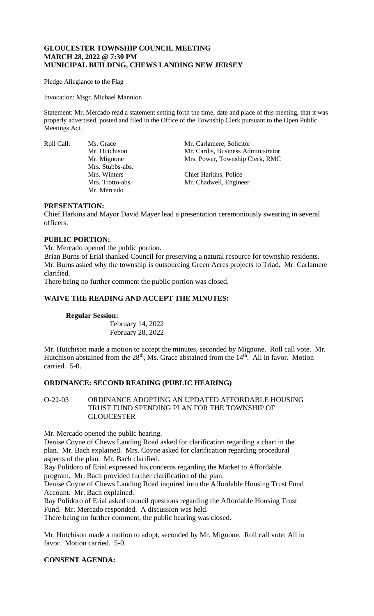# **GLOUCESTER TOWNSHIP COUNCIL MEETING MARCH 28, 2022 @ 7:30 PM MUNICIPAL BUILDING, CHEWS LANDING NEW JERSEY**

Pledge Allegiance to the Flag

Invocation: Msgr. Michael Mannion

Statement: Mr. Mercado read a statement setting forth the time, date and place of this meeting, that it was properly advertised, posted and filed in the Office of the Township Clerk pursuant to the Open Public Meetings Act.

Mrs. Stubbs-abs. Mr. Mercado

Roll Call: Ms. Grace Mr. Carlamere, Solicitor Mr. Hutchison Mr. Cardis, Business Administrator Mr. Mignone Mrs. Power, Township Clerk, RMC

> Mrs. Winters Chief Harkins, Police<br>Mrs. Trotto-abs. Mr. Chadwell, Engine Mr. Chadwell, Engineer

### **PRESENTATION:**

Chief Harkins and Mayor David Mayer lead a presentation ceremoniously swearing in several officers.

# **PUBLIC PORTION:**

Mr. Mercado opened the public portion.

Brian Burns of Erial thanked Council for preserving a natural resource for township residents. Mr. Burns asked why the township is outsourcing Green Acres projects to Triad. Mr. Carlamere clarified.

There being no further comment the public portion was closed.

### **WAIVE THE READING AND ACCEPT THE MINUTES:**

#### **Regular Session:**

February 14, 2022 February 28, 2022

Mr. Hutchison made a motion to accept the minutes, seconded by Mignone. Roll call vote. Mr. Hutchison abstained from the  $28<sup>th</sup>$ , Ms. Grace abstained from the  $14<sup>th</sup>$ . All in favor. Motion carried. 5-0.

# **ORDINANCE: SECOND READING (PUBLIC HEARING)**

# O-22-03 ORDINANCE ADOPTING AN UPDATED AFFORDABLE HOUSING TRUST FUND SPENDING PLAN FOR THE TOWNSHIP OF **GLOUCESTER**

Mr. Mercado opened the public hearing.

Denise Coyne of Chews Landing Road asked for clarification regarding a chart in the plan. Mr. Bach explained. Mrs. Coyne asked for clarification regarding procedural aspects of the plan. Mr. Bach clarified.

Ray Polidoro of Erial expressed his concerns regarding the Market to Affordable program. Mr. Bach provided further clarification of the plan.

Denise Coyne of Chews Landing Road inquired into the Affordable Housing Trust Fund Account. Mr. Bach explained.

Ray Polidoro of Erial asked council questions regarding the Affordable Housing Trust Fund. Mr. Mercado responded. A discussion was held.

There being no further comment, the public hearing was closed.

Mr. Hutchison made a motion to adopt, seconded by Mr. Mignone. Roll call vote: All in favor. Motion carried. 5-0.

# **CONSENT AGENDA:**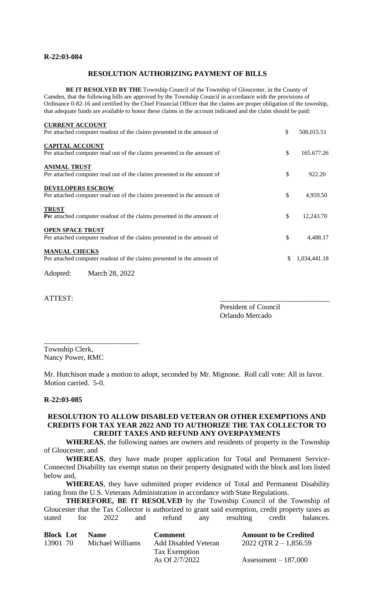## **R-22:03-084**

## **RESOLUTION AUTHORIZING PAYMENT OF BILLS**

**BE IT RESOLVED BY THE** Township Council of the Township of Gloucester, in the County of Camden, that the following bills are approved by the Township Council in accordance with the provisions of Ordinance 0-82-16 and certified by the Chief Financial Officer that the claims are proper obligation of the township, that adequate funds are available to honor these claims in the account indicated and the claim should be paid:

| <b>CURRENT ACCOUNT</b>                                                  |                    |
|-------------------------------------------------------------------------|--------------------|
| Per attached computer readout of the claims presented in the amount of  | \$<br>508,015.51   |
| <b>CAPITAL ACCOUNT</b>                                                  |                    |
| Per attached computer read out of the claims presented in the amount of | \$<br>165.677.26   |
| <b>ANIMAL TRUST</b>                                                     |                    |
| Per attached computer read out of the claims presented in the amount of | \$<br>922.20       |
| <b>DEVELOPERS ESCROW</b>                                                |                    |
| Per attached computer read out of the claims presented in the amount of | \$<br>4,959.50     |
| <b>TRUST</b>                                                            |                    |
| Per attached computer readout of the claims presented in the amount of  | \$<br>12,243.70    |
| <b>OPEN SPACE TRUST</b>                                                 |                    |
| Per attached computer readout of the claims presented in the amount of  | \$<br>4,488.17     |
| <b>MANUAL CHECKS</b>                                                    |                    |
| Per attached computer readout of the claims presented in the amount of  | \$<br>1,034,441.18 |
| $11.1$ $15.1$                                                           |                    |

Adopted: March 28, 2022

\_\_\_\_\_\_\_\_\_\_\_\_\_\_\_\_\_\_\_\_\_\_\_\_\_\_

ATTEST:

President of Council

Orlando Mercado

Township Clerk, Nancy Power, RMC

Mr. Hutchison made a motion to adopt, seconded by Mr. Mignone. Roll call vote: All in favor. Motion carried. 5-0.

#### **R-22:03-085**

### **RESOLUTION TO ALLOW DISABLED VETERAN OR OTHER EXEMPTIONS AND CREDITS FOR TAX YEAR 2022 AND TO AUTHORIZE THE TAX COLLECTOR TO CREDIT TAXES AND REFUND ANY OVERPAYMENTS**

 **WHEREAS**, the following names are owners and residents of property in the Township of Gloucester, and

**WHEREAS**, they have made proper application for Total and Permanent Service-Connected Disability tax exempt status on their property designated with the block and lots listed below and,

**WHEREAS**, they have submitted proper evidence of Total and Permanent Disability rating from the U.S. Veterans Administration in accordance with State Regulations.

**THEREFORE, BE IT RESOLVED** by the Township Council of the Township of Gloucester that the Tax Collector is authorized to grant said exemption, credit property taxes as stated for 2022 and refund any resulting credit balances.

| <b>Block Lot</b> | <b>Name</b>      | <b>Comment</b>              | <b>Amount to be Credited</b> |
|------------------|------------------|-----------------------------|------------------------------|
| 13901 70         | Michael Williams | <b>Add Disabled Veteran</b> | 2022 QTR 2 – 1,856.59        |
|                  |                  | Tax Exemption               |                              |
|                  |                  | As Of 2/7/2022              | Assessment $-187,000$        |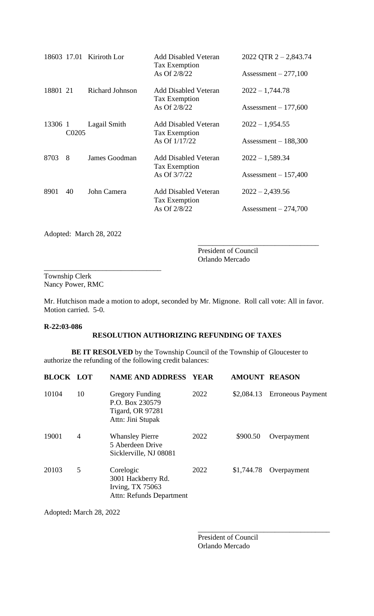|          |                    | 18603 17.01 Kiriroth Lor | <b>Add Disabled Veteran</b><br>Tax Exemption<br>As Of 2/8/22           | 2022 QTR $2 - 2,843.74$<br>Assessment $-277,100$ |
|----------|--------------------|--------------------------|------------------------------------------------------------------------|--------------------------------------------------|
| 18801 21 |                    | Richard Johnson          | <b>Add Disabled Veteran</b><br>Tax Exemption<br>As Of 2/8/22           | $2022 - 1,744.78$<br>Assessment $-177,600$       |
| 13306 1  | C <sub>0</sub> 205 | Lagail Smith             | <b>Add Disabled Veteran</b><br><b>Tax Exemption</b><br>As Of $1/17/22$ | $2022 - 1,954.55$<br>Assessment $-188,300$       |
| 8703     | 8                  | James Goodman            | <b>Add Disabled Veteran</b><br>Tax Exemption<br>As Of 3/7/22           | $2022 - 1,589.34$<br>Assessment $-157,400$       |
| 8901     | 40                 | John Camera              | <b>Add Disabled Veteran</b><br>Tax Exemption<br>As Of 2/8/22           | $2022 - 2,439.56$<br>Assessment $-274,700$       |

Adopted: March 28, 2022

\_\_\_\_\_\_\_\_\_\_\_\_\_\_\_\_\_\_\_\_\_\_\_\_\_\_\_\_\_\_\_\_

President of Council Orlando Mercado

\_\_\_\_\_\_\_\_\_\_\_\_\_\_\_\_\_\_\_\_\_\_\_\_\_\_\_\_\_\_\_\_\_

Township Clerk Nancy Power, RMC

Mr. Hutchison made a motion to adopt, seconded by Mr. Mignone. Roll call vote: All in favor. Motion carried. 5-0.

#### **R-22:03-086**

# **RESOLUTION AUTHORIZING REFUNDING OF TAXES**

**BE IT RESOLVED** by the Township Council of the Township of Gloucester to authorize the refunding of the following credit balances:

| <b>BLOCK LOT</b> |                | <b>NAME AND ADDRESS</b>                                                                   | <b>YEAR</b> | <b>AMOUNT REASON</b> |                          |
|------------------|----------------|-------------------------------------------------------------------------------------------|-------------|----------------------|--------------------------|
| 10104            | 10             | <b>Gregory Funding</b><br>P.O. Box 230579<br><b>Tigard, OR 97281</b><br>Attn: Jini Stupak | 2022        | \$2,084.13           | <b>Erroneous Payment</b> |
| 19001            | $\overline{4}$ | <b>Whansley Pierre</b><br>5 Aberdeen Drive<br>Sicklerville, NJ 08081                      | 2022        | \$900.50             | Overpayment              |
| 20103            | 5              | Corelogic<br>3001 Hackberry Rd.<br>Irving, $TX$ 75063<br>Attn: Refunds Department         | 2022        | \$1,744.78           | Overpayment              |

Adopted**:** March 28, 2022

President of Council Orlando Mercado

\_\_\_\_\_\_\_\_\_\_\_\_\_\_\_\_\_\_\_\_\_\_\_\_\_\_\_\_\_\_\_\_\_\_\_\_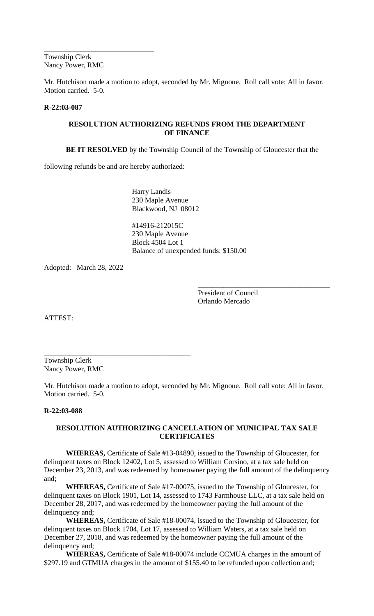Township Clerk Nancy Power, RMC

\_\_\_\_\_\_\_\_\_\_\_\_\_\_\_\_\_\_\_\_\_\_\_\_\_\_\_\_\_\_

Mr. Hutchison made a motion to adopt, seconded by Mr. Mignone. Roll call vote: All in favor. Motion carried. 5-0.

### **R-22:03-087**

## **RESOLUTION AUTHORIZING REFUNDS FROM THE DEPARTMENT OF FINANCE**

**BE IT RESOLVED** by the Township Council of the Township of Gloucester that the

following refunds be and are hereby authorized:

\_\_\_\_\_\_\_\_\_\_\_\_\_\_\_\_\_\_\_\_\_\_\_\_\_\_\_\_\_\_\_\_\_\_\_\_\_\_\_\_

Harry Landis 230 Maple Avenue Blackwood, NJ 08012

#14916-212015C 230 Maple Avenue Block 4504 Lot 1 Balance of unexpended funds: \$150.00

Adopted: March 28, 2022

President of Council Orlando Mercado

\_\_\_\_\_\_\_\_\_\_\_\_\_\_\_\_\_\_\_\_\_\_\_\_\_\_\_\_\_\_\_\_\_\_\_\_

ATTEST:

Township Clerk Nancy Power, RMC

Mr. Hutchison made a motion to adopt, seconded by Mr. Mignone. Roll call vote: All in favor. Motion carried. 5-0.

#### **R-22:03-088**

### **RESOLUTION AUTHORIZING CANCELLATION OF MUNICIPAL TAX SALE CERTIFICATES**

**WHEREAS,** Certificate of Sale #13-04890, issued to the Township of Gloucester, for delinquent taxes on Block 12402, Lot 5, assessed to William Corsino, at a tax sale held on December 23, 2013, and was redeemed by homeowner paying the full amount of the delinquency and;

**WHEREAS,** Certificate of Sale #17-00075, issued to the Township of Gloucester, for delinquent taxes on Block 1901, Lot 14, assessed to 1743 Farmhouse LLC, at a tax sale held on December 28, 2017, and was redeemed by the homeowner paying the full amount of the delinquency and;

**WHEREAS,** Certificate of Sale #18-00074, issued to the Township of Gloucester, for delinquent taxes on Block 1704, Lot 17, assessed to William Waters, at a tax sale held on December 27, 2018, and was redeemed by the homeowner paying the full amount of the delinquency and;

**WHEREAS,** Certificate of Sale #18-00074 include CCMUA charges in the amount of \$297.19 and GTMUA charges in the amount of \$155.40 to be refunded upon collection and;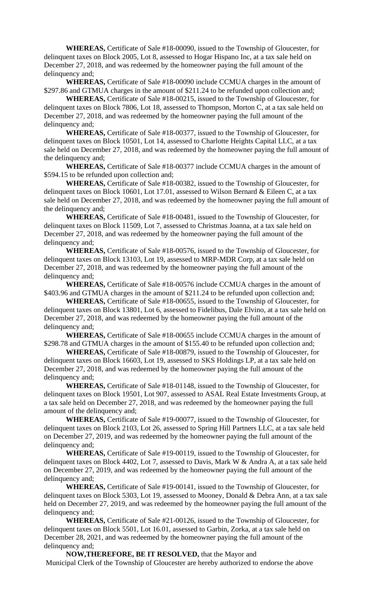**WHEREAS,** Certificate of Sale #18-00090, issued to the Township of Gloucester, for delinquent taxes on Block 2005, Lot 8, assessed to Hogar Hispano Inc, at a tax sale held on December 27, 2018, and was redeemed by the homeowner paying the full amount of the delinquency and;

**WHEREAS,** Certificate of Sale #18-00090 include CCMUA charges in the amount of \$297.86 and GTMUA charges in the amount of \$211.24 to be refunded upon collection and;

**WHEREAS,** Certificate of Sale #18-00215, issued to the Township of Gloucester, for delinquent taxes on Block 7806, Lot 18, assessed to Thompson, Morton C, at a tax sale held on December 27, 2018, and was redeemed by the homeowner paying the full amount of the delinquency and;

**WHEREAS,** Certificate of Sale #18-00377, issued to the Township of Gloucester, for delinquent taxes on Block 10501, Lot 14, assessed to Charlotte Heights Capital LLC, at a tax sale held on December 27, 2018, and was redeemed by the homeowner paying the full amount of the delinquency and;

**WHEREAS,** Certificate of Sale #18-00377 include CCMUA charges in the amount of \$594.15 to be refunded upon collection and;

**WHEREAS,** Certificate of Sale #18-00382, issued to the Township of Gloucester, for delinquent taxes on Block 10601, Lot 17.01, assessed to Wilson Bernard & Eileen C, at a tax sale held on December 27, 2018, and was redeemed by the homeowner paying the full amount of the delinquency and;

**WHEREAS,** Certificate of Sale #18-00481, issued to the Township of Gloucester, for delinquent taxes on Block 11509, Lot 7, assessed to Christmas Joanna, at a tax sale held on December 27, 2018, and was redeemed by the homeowner paying the full amount of the delinquency and;

**WHEREAS,** Certificate of Sale #18-00576, issued to the Township of Gloucester, for delinquent taxes on Block 13103, Lot 19, assessed to MRP-MDR Corp, at a tax sale held on December 27, 2018, and was redeemed by the homeowner paying the full amount of the delinquency and;

**WHEREAS,** Certificate of Sale #18-00576 include CCMUA charges in the amount of \$403.96 and GTMUA charges in the amount of \$211.24 to be refunded upon collection and;

**WHEREAS,** Certificate of Sale #18-00655, issued to the Township of Gloucester, for delinquent taxes on Block 13801, Lot 6, assessed to Fidelibus, Dale Elvino, at a tax sale held on December 27, 2018, and was redeemed by the homeowner paying the full amount of the delinquency and;

**WHEREAS,** Certificate of Sale #18-00655 include CCMUA charges in the amount of \$298.78 and GTMUA charges in the amount of \$155.40 to be refunded upon collection and;

**WHEREAS,** Certificate of Sale #18-00879, issued to the Township of Gloucester, for delinquent taxes on Block 16603, Lot 19, assessed to SKS Holdings LP, at a tax sale held on December 27, 2018, and was redeemed by the homeowner paying the full amount of the delinquency and;

**WHEREAS,** Certificate of Sale #18-01148, issued to the Township of Gloucester, for delinquent taxes on Block 19501, Lot 907, assessed to ASAL Real Estate Investments Group, at a tax sale held on December 27, 2018, and was redeemed by the homeowner paying the full amount of the delinquency and;

**WHEREAS,** Certificate of Sale #19-00077, issued to the Township of Gloucester, for delinquent taxes on Block 2103, Lot 26, assessed to Spring Hill Partners LLC, at a tax sale held on December 27, 2019, and was redeemed by the homeowner paying the full amount of the delinquency and;

**WHEREAS,** Certificate of Sale #19-00119, issued to the Township of Gloucester, for delinquent taxes on Block 4402, Lot 7, assessed to Davis, Mark W & Andra A, at a tax sale held on December 27, 2019, and was redeemed by the homeowner paying the full amount of the delinquency and;

**WHEREAS,** Certificate of Sale #19-00141, issued to the Township of Gloucester, for delinquent taxes on Block 5303, Lot 19, assessed to Mooney, Donald & Debra Ann, at a tax sale held on December 27, 2019, and was redeemed by the homeowner paying the full amount of the delinquency and;

**WHEREAS,** Certificate of Sale #21-00126, issued to the Township of Gloucester, for delinquent taxes on Block 5501, Lot 16.01, assessed to Garbin, Zorka, at a tax sale held on December 28, 2021, and was redeemed by the homeowner paying the full amount of the delinquency and;

**NOW,THEREFORE, BE IT RESOLVED,** that the Mayor and Municipal Clerk of the Township of Gloucester are hereby authorized to endorse the above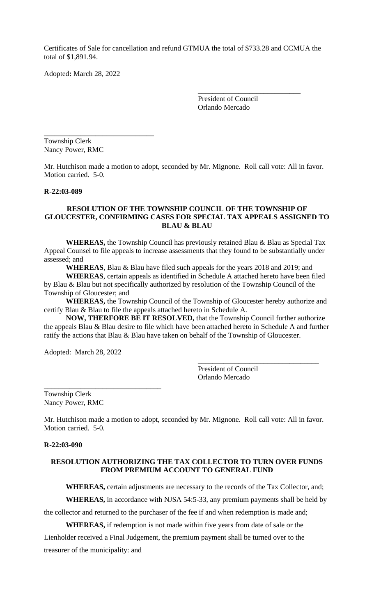Certificates of Sale for cancellation and refund GTMUA the total of \$733.28 and CCMUA the total of \$1,891.94.

Adopted**:** March 28, 2022

President of Council Orlando Mercado

\_\_\_\_\_\_\_\_\_\_\_\_\_\_\_\_\_\_\_\_\_\_\_\_\_\_\_\_

Township Clerk Nancy Power, RMC

\_\_\_\_\_\_\_\_\_\_\_\_\_\_\_\_\_\_\_\_\_\_\_\_\_\_\_\_\_\_

Mr. Hutchison made a motion to adopt, seconded by Mr. Mignone. Roll call vote: All in favor. Motion carried. 5-0.

#### **R-22:03-089**

### **RESOLUTION OF THE TOWNSHIP COUNCIL OF THE TOWNSHIP OF GLOUCESTER, CONFIRMING CASES FOR SPECIAL TAX APPEALS ASSIGNED TO BLAU & BLAU**

**WHEREAS,** the Township Council has previously retained Blau & Blau as Special Tax Appeal Counsel to file appeals to increase assessments that they found to be substantially under assessed; and

**WHEREAS**, Blau & Blau have filed such appeals for the years 2018 and 2019; and

**WHEREAS**, certain appeals as identified in Schedule A attached hereto have been filed by Blau & Blau but not specifically authorized by resolution of the Township Council of the Township of Gloucester; and

**WHEREAS,** the Township Council of the Township of Gloucester hereby authorize and certify Blau & Blau to file the appeals attached hereto in Schedule A.

**NOW, THERFORE BE IT RESOLVED,** that the Township Council further authorize the appeals Blau & Blau desire to file which have been attached hereto in Schedule A and further ratify the actions that Blau & Blau have taken on behalf of the Township of Gloucester.

Adopted: March 28, 2022

\_\_\_\_\_\_\_\_\_\_\_\_\_\_\_\_\_\_\_\_\_\_\_\_\_\_\_\_\_\_\_\_

President of Council Orlando Mercado

\_\_\_\_\_\_\_\_\_\_\_\_\_\_\_\_\_\_\_\_\_\_\_\_\_\_\_\_\_\_\_\_\_

Township Clerk Nancy Power, RMC

Mr. Hutchison made a motion to adopt, seconded by Mr. Mignone. Roll call vote: All in favor. Motion carried. 5-0.

#### **R-22:03-090**

#### **RESOLUTION AUTHORIZING THE TAX COLLECTOR TO TURN OVER FUNDS FROM PREMIUM ACCOUNT TO GENERAL FUND**

**WHEREAS,** certain adjustments are necessary to the records of the Tax Collector, and;

**WHEREAS,** in accordance with NJSA 54:5-33, any premium payments shall be held by

the collector and returned to the purchaser of the fee if and when redemption is made and;

**WHEREAS,** if redemption is not made within five years from date of sale or the Lienholder received a Final Judgement, the premium payment shall be turned over to the treasurer of the municipality: and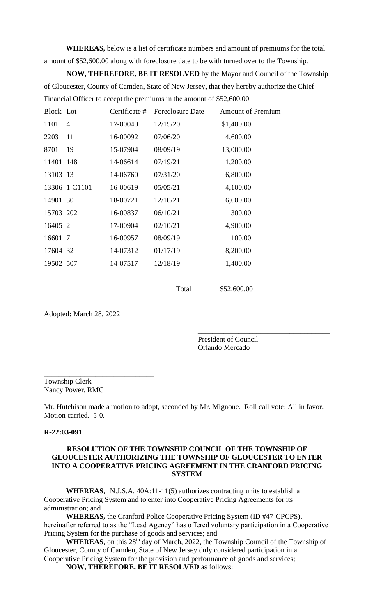**WHEREAS,** below is a list of certificate numbers and amount of premiums for the total amount of \$52,600.00 along with foreclosure date to be with turned over to the Township.

**NOW, THEREFORE, BE IT RESOLVED** by the Mayor and Council of the Township of Gloucester, County of Camden, State of New Jersey, that they hereby authorize the Chief Financial Officer to accept the premiums in the amount of \$52,600.00.

| Block Lot |                | Certificate # | <b>Foreclosure Date</b> | <b>Amount of Premium</b> |
|-----------|----------------|---------------|-------------------------|--------------------------|
| 1101      | $\overline{4}$ | 17-00040      | 12/15/20                | \$1,400.00               |
| 2203      | 11             | 16-00092      | 07/06/20                | 4,600.00                 |
| 8701      | 19             | 15-07904      | 08/09/19                | 13,000.00                |
| 11401 148 |                | 14-06614      | 07/19/21                | 1,200.00                 |
| 13103 13  |                | 14-06760      | 07/31/20                | 6,800.00                 |
|           | 13306 1-C1101  | 16-00619      | 05/05/21                | 4,100.00                 |
| 14901 30  |                | 18-00721      | 12/10/21                | 6,600.00                 |
| 15703 202 |                | 16-00837      | 06/10/21                | 300.00                   |
| 16405 2   |                | 17-00904      | 02/10/21                | 4,900.00                 |
| 16601 7   |                | 16-00957      | 08/09/19                | 100.00                   |
| 17604 32  |                | 14-07312      | 01/17/19                | 8,200.00                 |
| 19502 507 |                | 14-07517      | 12/18/19                | 1,400.00                 |
|           |                |               |                         |                          |

Total \$52,600.00

Adopted**:** March 28, 2022

\_\_\_\_\_\_\_\_\_\_\_\_\_\_\_\_\_\_\_\_\_\_\_\_\_\_\_\_\_\_

President of Council Orlando Mercado

\_\_\_\_\_\_\_\_\_\_\_\_\_\_\_\_\_\_\_\_\_\_\_\_\_\_\_\_\_\_\_\_\_\_\_\_

Township Clerk Nancy Power, RMC

Mr. Hutchison made a motion to adopt, seconded by Mr. Mignone. Roll call vote: All in favor. Motion carried. 5-0.

#### **R-22:03-091**

## **RESOLUTION OF THE TOWNSHIP COUNCIL OF THE TOWNSHIP OF GLOUCESTER AUTHORIZING THE TOWNSHIP OF GLOUCESTER TO ENTER INTO A COOPERATIVE PRICING AGREEMENT IN THE CRANFORD PRICING SYSTEM**

**WHEREAS**, N.J.S.A. 40A:11-11(5) authorizes contracting units to establish a Cooperative Pricing System and to enter into Cooperative Pricing Agreements for its administration; and

**WHEREAS,** the Cranford Police Cooperative Pricing System (ID #47-CPCPS), hereinafter referred to as the "Lead Agency" has offered voluntary participation in a Cooperative Pricing System for the purchase of goods and services; and

WHEREAS, on this 28<sup>th</sup> day of March, 2022, the Township Council of the Township of Gloucester, County of Camden, State of New Jersey duly considered participation in a Cooperative Pricing System for the provision and performance of goods and services;

**NOW, THEREFORE, BE IT RESOLVED** as follows: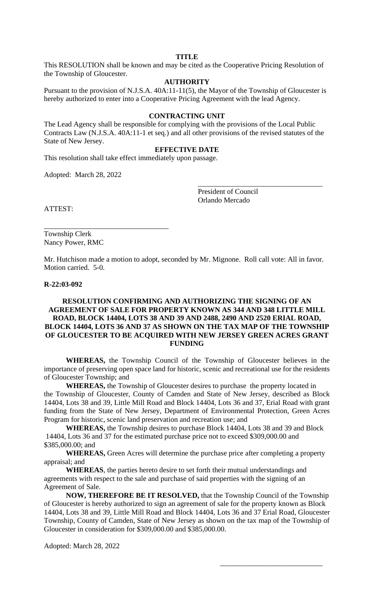## **TITLE**

This RESOLUTION shall be known and may be cited as the Cooperative Pricing Resolution of the Township of Gloucester.

# **AUTHORITY**

Pursuant to the provision of N.J.S.A. 40A:11-11(5), the Mayor of the Township of Gloucester is hereby authorized to enter into a Cooperative Pricing Agreement with the lead Agency.

#### **CONTRACTING UNIT**

The Lead Agency shall be responsible for complying with the provisions of the Local Public Contracts Law (N.J.S.A. 40A:11-1 et seq.) and all other provisions of the revised statutes of the State of New Jersey.

### **EFFECTIVE DATE**

This resolution shall take effect immediately upon passage.

Adopted: March 28, 2022

\_\_\_\_\_\_\_\_\_\_\_\_\_\_\_\_\_\_\_\_\_\_\_\_\_\_\_\_\_\_\_\_\_\_

President of Council Orlando Mercado

\_\_\_\_\_\_\_\_\_\_\_\_\_\_\_\_\_\_\_\_\_\_\_\_\_\_\_\_\_\_\_\_\_\_

\_\_\_\_\_\_\_\_\_\_\_\_\_\_\_\_\_\_\_\_\_\_\_\_\_\_\_\_

ATTEST:

Township Clerk Nancy Power, RMC

Mr. Hutchison made a motion to adopt, seconded by Mr. Mignone. Roll call vote: All in favor. Motion carried. 5-0.

#### **R-22:03-092**

### **RESOLUTION CONFIRMING AND AUTHORIZING THE SIGNING OF AN AGREEMENT OF SALE FOR PROPERTY KNOWN AS 344 AND 348 LITTLE MILL ROAD, BLOCK 14404, LOTS 38 AND 39 AND 2488, 2490 AND 2520 ERIAL ROAD, BLOCK 14404, LOTS 36 AND 37 AS SHOWN ON THE TAX MAP OF THE TOWNSHIP OF GLOUCESTER TO BE ACQUIRED WITH NEW JERSEY GREEN ACRES GRANT FUNDING**

**WHEREAS,** the Township Council of the Township of Gloucester believes in the importance of preserving open space land for historic, scenic and recreational use for the residents of Gloucester Township; and

**WHEREAS,** the Township of Gloucester desires to purchase the property located in the Township of Gloucester, County of Camden and State of New Jersey, described as Block 14404, Lots 38 and 39, Little Mill Road and Block 14404, Lots 36 and 37, Erial Road with grant funding from the State of New Jersey, Department of Environmental Protection, Green Acres Program for historic, scenic land preservation and recreation use; and

**WHEREAS,** the Township desires to purchase Block 14404, Lots 38 and 39 and Block 14404, Lots 36 and 37 for the estimated purchase price not to exceed \$309,000.00 and \$385,000.00; and

**WHEREAS,** Green Acres will determine the purchase price after completing a property appraisal; and

**WHEREAS**, the parties hereto desire to set forth their mutual understandings and agreements with respect to the sale and purchase of said properties with the signing of an Agreement of Sale.

**NOW, THEREFORE BE IT RESOLVED,** that the Township Council of the Township of Gloucester is hereby authorized to sign an agreement of sale for the property known as Block 14404, Lots 38 and 39, Little Mill Road and Block 14404, Lots 36 and 37 Erial Road, Gloucester Township, County of Camden, State of New Jersey as shown on the tax map of the Township of Gloucester in consideration for \$309,000.00 and \$385,000.00.

Adopted: March 28, 2022